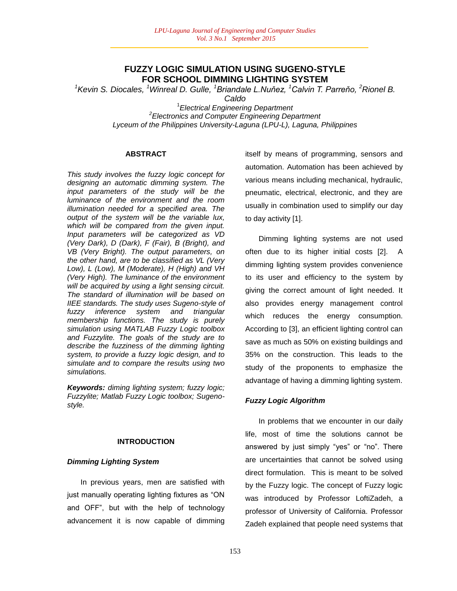### **FUZZY LOGIC SIMULATION USING SUGENO-STYLE FOR SCHOOL DIMMING LIGHTING SYSTEM**

*<sup>1</sup>Kevin S. Diocales, <sup>1</sup>Winreal D. Gulle, <sup>1</sup>Briandale L.Nuňez, <sup>1</sup>Calvin T. Parreňo, <sup>2</sup>Rionel B.* 

*Caldo*

1 *Electrical Engineering Department 2 Electronics and Computer Engineering Department Lyceum of the Philippines University-Laguna (LPU-L), Laguna, Philippines*

#### **ABSTRACT**

*This study involves the fuzzy logic concept for designing an automatic dimming system. The input parameters of the study will be the luminance of the environment and the room illumination needed for a specified area. The output of the system will be the variable lux, which will be compared from the given input. Input parameters will be categorized as VD (Very Dark), D (Dark), F (Fair), B (Bright), and VB (Very Bright). The output parameters, on the other hand, are to be classified as VL (Very Low), L (Low), M (Moderate), H (High) and VH (Very High). The luminance of the environment will be acquired by using a light sensing circuit. The standard of illumination will be based on IIEE standards. The study uses Sugeno-style of fuzzy inference system and triangular membership functions. The study is purely simulation using MATLAB Fuzzy Logic toolbox and Fuzzylite. The goals of the study are to describe the fuzziness of the dimming lighting system, to provide a fuzzy logic design, and to simulate and to compare the results using two simulations.*

*Keywords: diming lighting system; fuzzy logic; Fuzzylite; Matlab Fuzzy Logic toolbox; Sugenostyle.*

#### **INTRODUCTION**

#### *Dimming Lighting System*

In previous years, men are satisfied with just manually operating lighting fixtures as "ON and OFF", but with the help of technology advancement it is now capable of dimming itself by means of programming, sensors and automation. Automation has been achieved by various means including mechanical, hydraulic, pneumatic, electrical, electronic, and they are usually in combination used to simplify our day to day activity [1].

Dimming lighting systems are not used often due to its higher initial costs [2]. A dimming lighting system provides convenience to its user and efficiency to the system by giving the correct amount of light needed. It also provides energy management control which reduces the energy consumption. According to [3], an efficient lighting control can save as much as 50% on existing buildings and 35% on the construction. This leads to the study of the proponents to emphasize the advantage of having a dimming lighting system.

#### *Fuzzy Logic Algorithm*

In problems that we encounter in our daily life, most of time the solutions cannot be answered by just simply "yes" or "no". There are uncertainties that cannot be solved using direct formulation. This is meant to be solved by the Fuzzy logic. The concept of Fuzzy logic was introduced by Professor LoftiZadeh, a professor of University of California. Professor Zadeh explained that people need systems that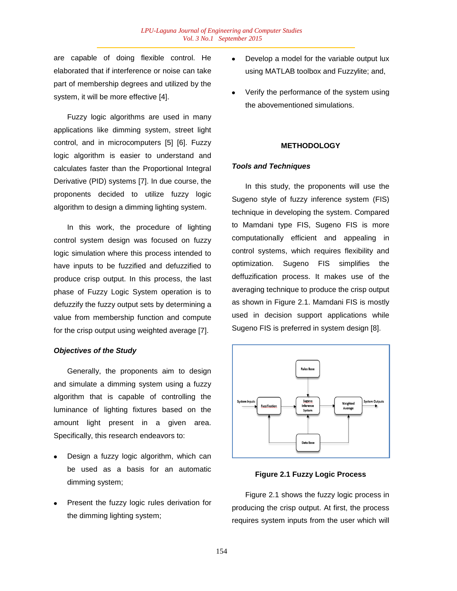are capable of doing flexible control. He elaborated that if interference or noise can take part of membership degrees and utilized by the system, it will be more effective [4].

Fuzzy logic algorithms are used in many applications like dimming system, street light control, and in microcomputers [5] [6]. Fuzzy logic algorithm is easier to understand and calculates faster than the Proportional Integral Derivative (PID) systems [7]. In due course, the proponents decided to utilize fuzzy logic algorithm to design a dimming lighting system.

In this work, the procedure of lighting control system design was focused on fuzzy logic simulation where this process intended to have inputs to be fuzzified and defuzzified to produce crisp output. In this process, the last phase of Fuzzy Logic System operation is to defuzzify the fuzzy output sets by determining a value from membership function and compute for the crisp output using weighted average [7].

#### *Objectives of the Study*

Generally, the proponents aim to design and simulate a dimming system using a fuzzy algorithm that is capable of controlling the luminance of lighting fixtures based on the amount light present in a given area. Specifically, this research endeavors to:

- Design a fuzzy logic algorithm, which can be used as a basis for an automatic dimming system;
- Present the fuzzy logic rules derivation for the dimming lighting system;
- Develop a model for the variable output lux using MATLAB toolbox and Fuzzylite; and,
- Verify the performance of the system using the abovementioned simulations.

#### **METHODOLOGY**

#### *Tools and Techniques*

In this study, the proponents will use the Sugeno style of fuzzy inference system (FIS) technique in developing the system. Compared to Mamdani type FIS, Sugeno FIS is more computationally efficient and appealing in control systems, which requires flexibility and optimization. Sugeno FIS simplifies the deffuzification process. It makes use of the averaging technique to produce the crisp output as shown in Figure 2.1. Mamdani FIS is mostly used in decision support applications while Sugeno FIS is preferred in system design [8].



#### **Figure 2.1 Fuzzy Logic Process**

Figure 2.1 shows the fuzzy logic process in producing the crisp output. At first, the process requires system inputs from the user which will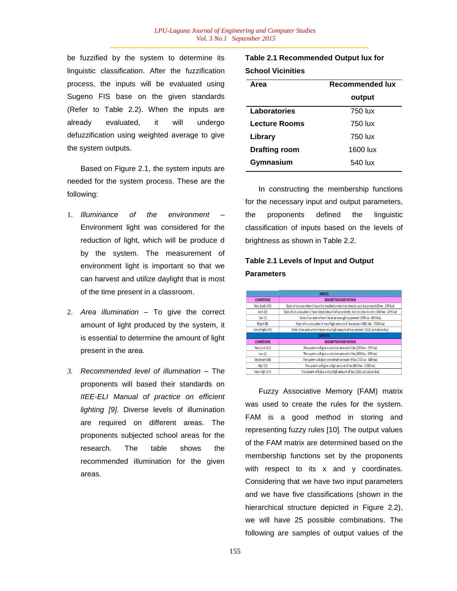be fuzzified by the system to determine its linguistic classification. After the fuzzification process, the inputs will be evaluated using Sugeno FIS base on the given standards (Refer to Table 2.2). When the inputs are already evaluated, it will undergo defuzzification using weighted average to give the system outputs.

Based on Figure 2.1, the system inputs are needed for the system process. These are the following:

- 1. *Illuminance of the environment*  Environment light was considered for the reduction of light, which will be produce d by the system. The measurement of environment light is important so that we can harvest and utilize daylight that is most of the time present in a classroom.
- 2. *Area illumination* To give the correct amount of light produced by the system, it is essential to determine the amount of light present in the area.
- *3. Recommended level of illumination* The proponents will based their standards on *IIEE-ELI Manual of practice on efficient lighting [9].* Diverse levels of illumination are required on different areas. The proponents subjected school areas for the research. The table shows the recommended illumination for the given areas.

**Table 2.1 Recommended Output lux for School Vicinities**

| Area                 | Recommended lux |  |  |  |  |
|----------------------|-----------------|--|--|--|--|
|                      | output          |  |  |  |  |
| Laboratories         | 750 lux         |  |  |  |  |
| <b>Lecture Rooms</b> | 750 lux         |  |  |  |  |
| Library              | 750 lux         |  |  |  |  |
| <b>Drafting room</b> | 1600 lux        |  |  |  |  |
| Gymnasium            | 540 lux         |  |  |  |  |

In constructing the membership functions for the necessary input and output parameters, the proponents defined the linguistic classification of inputs based on the levels of brightness as shown in Table 2.2.

## **Table 2.1 Levels of Input and Output Parameters**

| <b>INPUTS</b>     |                                                                                                      |  |  |  |  |  |  |
|-------------------|------------------------------------------------------------------------------------------------------|--|--|--|--|--|--|
| <b>CONDITIONS</b> | <b>DESCRIPTION/DEFINITION</b>                                                                        |  |  |  |  |  |  |
| Very Dark (VD)    | State of an area when it have the smallest amount or close to zero lux present (0 lux - 299 lux)     |  |  |  |  |  |  |
| Dark (D)          | State of an area when it have small amount of lux present, but not close to zero (300 lux - 699 lux) |  |  |  |  |  |  |
| Fair (F)          | State of an area when it have an enough lux present (700 lux - 800 lux)                              |  |  |  |  |  |  |
| Bright (B)        | State of an area when it have high amount of lux present (801 lux - 1500 lux)                        |  |  |  |  |  |  |
| Very Bright (VB)  | State of an area when it have very high amount of lux present (1501 and above lux)                   |  |  |  |  |  |  |
|                   | <b>OUTPUTS</b>                                                                                       |  |  |  |  |  |  |
| <b>CONDITIONS</b> | <b>DESCRIPTION/DEFINITION</b>                                                                        |  |  |  |  |  |  |
| Very Low (VL)     | The system will give a very low amount of lux (200 lux - 399 lux)                                    |  |  |  |  |  |  |
| Low (L)           | The system will give a very low amount of lux (400 lux - 699 lux)                                    |  |  |  |  |  |  |
| Moderate (M)      | The system will give a moderate amount of lux (700 lux - 800 lux)                                    |  |  |  |  |  |  |
| High (H)          | The system will give a high amount of lux (801 lux - 1500 lux)                                       |  |  |  |  |  |  |
| Very High (VH)    | The system will give a very high amount of lux (1501 and above lux)                                  |  |  |  |  |  |  |

Fuzzy Associative Memory (FAM) matrix was used to create the rules for the system. FAM is a good method in storing and representing fuzzy rules [10]. The output values of the FAM matrix are determined based on the membership functions set by the proponents with respect to its x and y coordinates. Considering that we have two input parameters and we have five classifications (shown in the hierarchical structure depicted in Figure 2.2), we will have 25 possible combinations. The following are samples of output values of the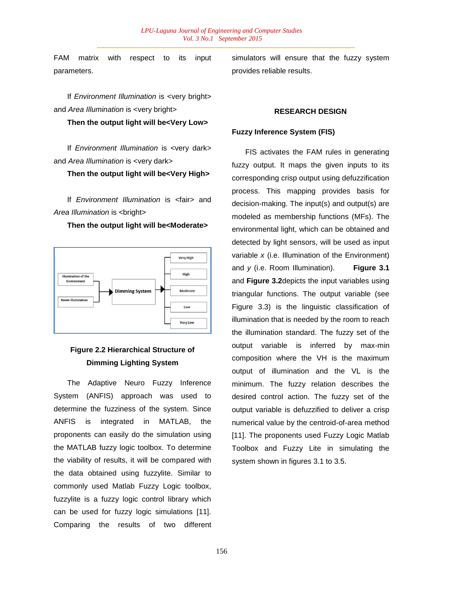FAM matrix with respect to its input parameters.

If *Environment Illumination* is <very bright> and *Area Illumination* is <very bright>

#### **Then the output light will be<Very Low>**

If *Environment Illumination* is <very dark> and *Area Illumination* is <very dark>

**Then the output light will be<Very High>**

If *Environment Illumination* is <fair> and Area *Illumination* is <br/> <br/>**blumination** 

**Then the output light will be<Moderate>**



## **Figure 2.2 Hierarchical Structure of Dimming Lighting System**

The Adaptive Neuro Fuzzy Inference System (ANFIS) approach was used to determine the fuzziness of the system. Since ANFIS is integrated in MATLAB, the proponents can easily do the simulation using the MATLAB fuzzy logic toolbox. To determine the viability of results, it will be compared with the data obtained using fuzzylite. Similar to commonly used Matlab Fuzzy Logic toolbox, fuzzylite is a fuzzy logic control library which can be used for fuzzy logic simulations [11]. Comparing the results of two different simulators will ensure that the fuzzy system provides reliable results.

#### **RESEARCH DESIGN**

#### **Fuzzy Inference System (FIS)**

FIS activates the FAM rules in generating fuzzy output. It maps the given inputs to its corresponding crisp output using defuzzification process. This mapping provides basis for decision-making. The input(s) and output(s) are modeled as membership functions (MFs). The environmental light, which can be obtained and detected by light sensors, will be used as input variable *x* (i.e. Illumination of the Environment) and *y* (i.e. Room Illumination). **Figure 3.1** and **Figure 3.2**depicts the input variables using triangular functions. The output variable (see Figure 3.3) is the linguistic classification of illumination that is needed by the room to reach the illumination standard. The fuzzy set of the output variable is inferred by max-min composition where the VH is the maximum output of illumination and the VL is the minimum. The fuzzy relation describes the desired control action. The fuzzy set of the output variable is defuzzified to deliver a crisp numerical value by the centroid-of-area method [11]. The proponents used Fuzzy Logic Matlab Toolbox and Fuzzy Lite in simulating the system shown in figures 3.1 to 3.5.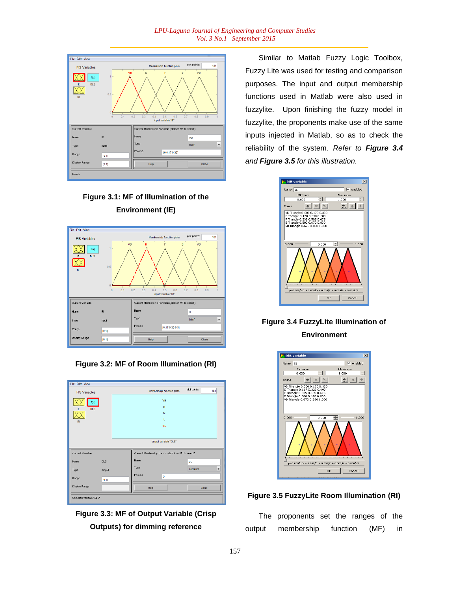





**Figure 3.2: MF of Room Illumination (RI)**

| <b>File Edit View</b>   |            |  |                                                     |                           |              |                          |
|-------------------------|------------|--|-----------------------------------------------------|---------------------------|--------------|--------------------------|
| <b>FIS Variables</b>    |            |  |                                                     | Membership function plots | plot points: | 181                      |
| f(u)                    |            |  |                                                     | VH                        |              |                          |
| <b>DLS</b><br>F         |            |  |                                                     | H                         |              |                          |
|                         |            |  |                                                     | M                         |              |                          |
| <b>RI</b>               |            |  |                                                     | L                         |              |                          |
|                         |            |  |                                                     | <b>VL</b>                 |              |                          |
|                         |            |  |                                                     |                           |              |                          |
|                         |            |  |                                                     | output variable "DLS"     |              |                          |
| Current Variable        |            |  | Current Membership Function (click on MF to select) |                           |              |                          |
| Name                    | <b>DLS</b> |  | Name                                                |                           | <b>VL</b>    |                          |
| Type                    | output     |  | Type                                                |                           | constant     | $\overline{\phantom{a}}$ |
| Range                   | [0 1]      |  | Params                                              | 5                         |              |                          |
| Display Range           |            |  | Help                                                |                           | Close        |                          |
| Selected variable "DLS" |            |  |                                                     |                           |              |                          |



Similar to Matlab Fuzzy Logic Toolbox, Fuzzy Lite was used for testing and comparison purposes. The input and output membership functions used in Matlab were also used in fuzzylite. Upon finishing the fuzzy model in fuzzylite, the proponents make use of the same inputs injected in Matlab, so as to check the reliability of the system. *Refer to Figure 3.4 and Figure 3.5 for this illustration.*



## **Figure 3.4 FuzzyLite Illumination of Environment**



### **Figure 3.5 FuzzyLite Room Illumination (RI)**

The proponents set the ranges of the output membership function (MF) in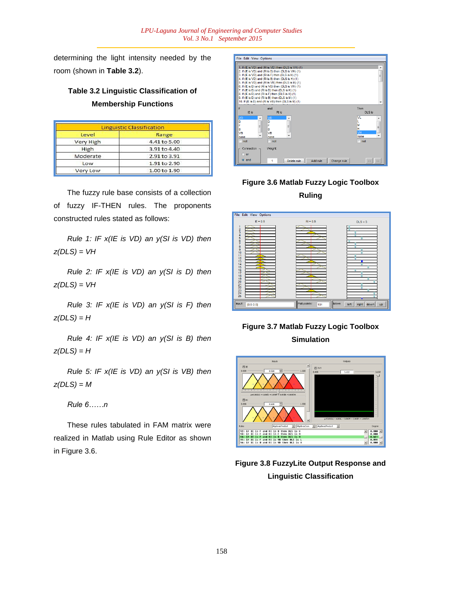determining the light intensity needed by the room (shown in **Table 3.2**).

# **Table 3.2 Linguistic Classification of Membership Functions**

|                  | <b>Linguistic Classification</b> |
|------------------|----------------------------------|
| Level            | Range                            |
| <b>Very High</b> | 4.41 to 5.00                     |
| High             | 3.91 to 4.40                     |
| Moderate         | 2.91 to 3.91                     |
| Low              | 1.91 to 2.90                     |
| <b>Very Low</b>  | 1.00 to 1.90                     |

The fuzzy rule base consists of a collection of fuzzy IF-THEN rules. The proponents constructed rules stated as follows:

*Rule 1: IF x(IE is VD) an y(SI is VD) then z(DLS) = VH*

*Rule 2: IF x(IE is VD) an y(SI is D) then z(DLS) = VH*

*Rule 3: IF x(IE is VD) an y(SI is F) then z(DLS) = H*

*Rule 4: IF x(IE is VD) an y(SI is B) then z(DLS) = H*

*Rule 5: IF x(IE is VD) an y(SI is VB) then z(DLS) = M*

*Rule 6……n*

These rules tabulated in FAM matrix were realized in Matlab using Rule Editor as shown in Figure 3.6.



# **Figure 3.6 Matlab Fuzzy Logic Toolbox Ruling**



# **Figure 3.7 Matlab Fuzzy Logic Toolbox Simulation**



**Figure 3.8 FuzzyLite Output Response and Linguistic Classification**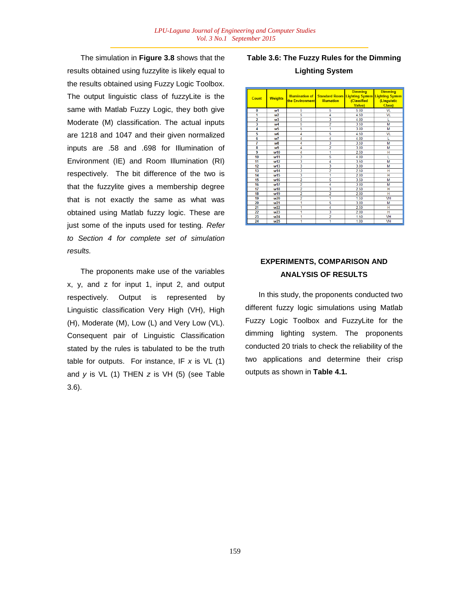The simulation in **Figure 3.8** shows that the results obtained using fuzzylite is likely equal to the results obtained using Fuzzy Logic Toolbox. The output linguistic class of fuzzyLite is the same with Matlab Fuzzy Logic, they both give Moderate (M) classification. The actual inputs are 1218 and 1047 and their given normalized inputs are .58 and .698 for Illumination of Environment (IE) and Room Illumination (RI) respectively. The bit difference of the two is that the fuzzylite gives a membership degree that is not exactly the same as what was obtained using Matlab fuzzy logic. These are just some of the inputs used for testing*. Refer to Section 4 for complete set of simulation results.*

The proponents make use of the variables x, y, and z for input 1, input 2, and output respectively. Output is represented by Linguistic classification Very High (VH), High (H), Moderate (M), Low (L) and Very Low (VL). Consequent pair of Linguistic Classification stated by the rules is tabulated to be the truth table for outputs. For instance, IF *x* is VL (1) and *y* is VL (1) THEN *z* is VH (5) (see Table 3.6).

# **Table 3.6: The Fuzzy Rules for the Dimming Lighting System**

| Count           | <b>Weights</b>  | <b>Illumination of</b><br>the Environment | <b>Illumation</b> | <b>Dimming</b><br><b>Standard Room Lighting System Lighting System</b><br>(Classified<br><b>Value)</b> | <b>Dimming</b><br>(Linguistic<br>Class) |
|-----------------|-----------------|-------------------------------------------|-------------------|--------------------------------------------------------------------------------------------------------|-----------------------------------------|
| $\bf{0}$        | w1              | 5                                         | 5                 | 500                                                                                                    | VL                                      |
| 1               | w <sub>2</sub>  | 5                                         | 4                 | 4.50                                                                                                   | VL                                      |
| 2               | w <sub>3</sub>  | 5                                         | 3                 | 4 0 0                                                                                                  |                                         |
|                 | w4              | 5                                         | $\overline{2}$    | 3.50                                                                                                   | M                                       |
| 4               | w5              | $\overline{5}$                            | 1                 | 3.00                                                                                                   | М                                       |
| 5               | w <sub>6</sub>  | 4                                         | 5                 | 4.50                                                                                                   | VL                                      |
| 6               | w7              | 4                                         | 4                 | 4.00                                                                                                   |                                         |
| 7               | w <sub>8</sub>  | 4                                         |                   | 3.50                                                                                                   | M                                       |
| 8               | w9              | 4                                         | $\overline{2}$    | 3.00                                                                                                   | M                                       |
| 9               | w10             | 4                                         | 1                 | 2.50                                                                                                   | н                                       |
| 10              | w11             | 3                                         | 5                 | 4.00                                                                                                   |                                         |
| 11              | w12             | 3                                         | 4                 | 3.50                                                                                                   | М                                       |
| $\overline{12}$ | w13             | 3                                         | 3                 | 3.00                                                                                                   | M                                       |
| 13              | w14             | 3                                         | $\overline{2}$    | 2.50                                                                                                   | Н                                       |
| 14              | w15             | 3                                         | 1                 | 2.00                                                                                                   | Ή                                       |
| 15              | w16             | $\overline{2}$                            | 5                 | 3.50                                                                                                   | M                                       |
| 16              | w17             | $\overline{\mathbf{2}}$                   | 4                 | 3.00                                                                                                   | M                                       |
| 17              | w18             | $\overline{2}$                            | 3                 | 2.50                                                                                                   | Н                                       |
| 18              | w19             | $\overline{2}$                            | $\overline{2}$    | 2.00                                                                                                   | H                                       |
| 19              | w <sub>20</sub> | $\overline{2}$                            | 1                 | 1.50                                                                                                   | VH                                      |
| 20              | w <sub>21</sub> | 1                                         | 5                 | 3.00                                                                                                   | M                                       |
| $\overline{21}$ | w <sub>22</sub> | 1                                         | 4                 | 2.50                                                                                                   | н                                       |
| 22              | w23             | 1                                         | 3                 | 2.00                                                                                                   | н                                       |
| 23              | w24             | 1                                         | $\overline{2}$    | 1.50                                                                                                   | <b>VH</b>                               |
| 24              | w <sub>25</sub> | 1                                         | 1                 | 1.00                                                                                                   | VH                                      |

## **EXPERIMENTS, COMPARISON AND ANALYSIS OF RESULTS**

In this study, the proponents conducted two different fuzzy logic simulations using Matlab Fuzzy Logic Toolbox and FuzzyLite for the dimming lighting system. The proponents conducted 20 trials to check the reliability of the two applications and determine their crisp outputs as shown in **Table 4.1.**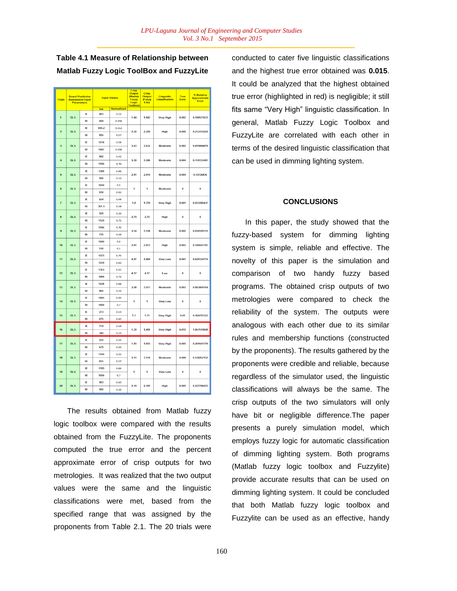| <b>Trials</b>  |            | <b>Board Predictive</b><br><b>Assessment Input</b><br><b>Parameters</b> | <b>Input Values</b> |                   | Crisp<br><b>Output</b><br>(Matlab<br><b>Fuzzy</b><br>Logic<br>Toolbox) | Crisp<br>Output<br>(Fuzzy<br>Lite) | Linguistic<br><b>Classification</b> | True<br>Error   | % Relative<br><b>Approximate</b><br>Error |             |
|----------------|------------|-------------------------------------------------------------------------|---------------------|-------------------|------------------------------------------------------------------------|------------------------------------|-------------------------------------|-----------------|-------------------------------------------|-------------|
|                |            |                                                                         | lux                 | <b>Normalized</b> |                                                                        |                                    |                                     |                 |                                           |             |
| 1              | <b>DLS</b> | IE                                                                      | 483                 | 0.23              | 1.84                                                                   | 1.842                              | <b>Very High</b>                    | 0.002           | 0.108577633                               |             |
|                |            | RI                                                                      | 684                 | 0.456             |                                                                        |                                    |                                     |                 |                                           |             |
| $\overline{2}$ | <b>DLS</b> | IE                                                                      | 655.2               | 0.312             | 2.35                                                                   | 2.355                              | <b>High</b>                         | 0.005           | 0.212314225                               |             |
|                |            | RI                                                                      | 855                 | 0.57              |                                                                        |                                    |                                     |                 |                                           |             |
| $\overline{3}$ | <b>DLS</b> | IE                                                                      | 1218                | 0.58              | 3.63                                                                   | 3.632                              | <b>Moderate</b>                     | 0.002           | 0.055066079                               |             |
|                |            | RI                                                                      | 1047                | 0.698             |                                                                        |                                    |                                     |                 |                                           |             |
| 4              | <b>DLS</b> | IE                                                                      | 882                 | 0.42              | 3.39                                                                   |                                    |                                     |                 | 0.118133491                               |             |
|                |            | RI                                                                      | 1185                | 0.79              |                                                                        | 3.386                              | Moderate                            | 0.004           |                                           |             |
| $\overline{5}$ | <b>DLS</b> | IF                                                                      | 1386                | 0.66              | 2.91                                                                   |                                    |                                     | 0.004           |                                           |             |
|                |            | <b>RI</b>                                                               | 990                 | 0.33              |                                                                        | 2.914                              | Moderate                            |                 | 0.13726836                                |             |
| 6              | <b>DLS</b> | IE                                                                      | 1050                | 0.5               | 3                                                                      | 3                                  | <b>Moderate</b>                     | $\bf{0}$        | $\bf{0}$                                  |             |
|                |            | RI                                                                      | 930                 | 0.62              |                                                                        |                                    |                                     |                 |                                           |             |
| $\overline{t}$ | <b>DLS</b> | IE                                                                      | 924                 | 0.44              | 1.8                                                                    | 1.799                              | <b>Very High</b>                    | 0.001           | 0.055586437                               |             |
|                |            | RI                                                                      | 361.5               | 0.24              |                                                                        |                                    |                                     |                 |                                           |             |
| 8              | <b>DLS</b> | IE                                                                      | 525                 | 0.25              | 2.75                                                                   | 2.75                               | <b>High</b>                         | $\bf{0}$        | $\bf{0}$                                  |             |
|                |            | RI                                                                      | 1125                | 0.75              |                                                                        |                                    |                                     |                 |                                           |             |
| 9              | <b>DLS</b> | IE                                                                      | 1596                | 0.76              | 3.54                                                                   | 3.538                              | Moderate                            | 0.002           | 0.056529112                               |             |
|                |            | RI                                                                      | 735                 | 0.49              |                                                                        |                                    |                                     |                 |                                           |             |
| 10             | <b>DLS</b> | IE                                                                      | 1680                | 0.8               | 2.81                                                                   | 2.813                              | <b>High</b>                         | 0.003           | 0.106647707                               |             |
|                |            | RI                                                                      | 150                 | 0.1               |                                                                        |                                    |                                     |                 |                                           |             |
| 11             | <b>DLS</b> | IF                                                                      | 1575                | 0.75              | 4.97                                                                   | 4.969                              | <b>Very Low</b>                     | 0.001           | 0.020124774                               |             |
|                |            | RI                                                                      | 1230                | 0.82              |                                                                        |                                    |                                     |                 |                                           |             |
| 12             | <b>DLS</b> | IE                                                                      | 1365                | 0.65              | 4.17                                                                   | 4.17                               | Low                                 | $\bf{0}$        | $\ddot{\mathbf{0}}$                       |             |
|                |            | RI                                                                      | 1080                | 0.72              |                                                                        |                                    |                                     |                 |                                           |             |
| 13             | <b>DLS</b> | IE                                                                      | 1428                | 0.68              | 3.58                                                                   | 3.577                              | Moderate                            | 0.003           | 0.083869164                               |             |
|                |            | RI                                                                      | 885                 | 0.59              |                                                                        |                                    |                                     |                 |                                           |             |
| 14             | <b>DLS</b> | IE                                                                      | 1995                | 0.95              | 5                                                                      | 5                                  | <b>Very Low</b>                     | $\bf{0}$        | $\bf{0}$                                  |             |
|                |            | RI                                                                      | 1050                | 0.7               |                                                                        |                                    |                                     |                 |                                           |             |
| 15             | <b>DLS</b> | IE                                                                      | 273                 | 0.13              | 1.7                                                                    | 1.71                               | <b>Very High</b>                    | 0.01            | 0.584795322                               |             |
|                |            | RI                                                                      | 675                 | 0.45              |                                                                        |                                    |                                     |                 |                                           |             |
| 16             | DLS        | IE                                                                      | 714                 | 0.34              | 1.39                                                                   | 1.405                              | <b>Very High</b>                    | 0.015           | 1.067615658                               |             |
|                |            | RI                                                                      | 345                 | 0.23              |                                                                        |                                    |                                     |                 |                                           |             |
| 17             | <b>DLS</b> | IE                                                                      | 525                 | 0.25              | 1.85                                                                   | 1.855                              | <b>Very High</b>                    | 0.005           | 0.269541779                               |             |
|                |            | RI                                                                      | 675                 | 0.45              |                                                                        |                                    |                                     |                 |                                           |             |
| 18             | <b>DLS</b> | IE                                                                      | 1155                | 0.55              | 3.11                                                                   |                                    | 3.114                               | <b>Moderate</b> | 0.004                                     | 0.128452152 |
|                |            | RI                                                                      | 855                 | 0.57              |                                                                        |                                    |                                     |                 |                                           |             |
| 19             | <b>DLS</b> | IE                                                                      | 1785                | 0.85              | 5                                                                      | 5                                  | <b>Very Low</b>                     | $\bf{0}$        | $\mathbf 0$                               |             |
|                |            | RI                                                                      | 1050                | 0.7               |                                                                        |                                    |                                     |                 |                                           |             |
| 20             | <b>DLS</b> | IE                                                                      | 903                 | 0.43              | 2.19                                                                   | 2.195                              | <b>High</b>                         | 0.005           | 0.227790433                               |             |
|                | RI         | 585                                                                     | 0.39                |                   |                                                                        |                                    |                                     |                 |                                           |             |

**Table 4.1 Measure of Relationship between Matlab Fuzzy Logic ToolBox and FuzzyLite**

The results obtained from Matlab fuzzy logic toolbox were compared with the results obtained from the FuzzyLite. The proponents computed the true error and the percent approximate error of crisp outputs for two metrologies. It was realized that the two output values were the same and the linguistic classifications were met, based from the specified range that was assigned by the proponents from Table 2.1. The 20 trials were

conducted to cater five linguistic classifications and the highest true error obtained was **0.015**. It could be analyzed that the highest obtained true error (highlighted in red) is negligible; it still fits same "Very High" linguistic classification. In general, Matlab Fuzzy Logic Toolbox and FuzzyLite are correlated with each other in terms of the desired linguistic classification that can be used in dimming lighting system.

### **CONCLUSIONS**

In this paper, the study showed that the fuzzy-based system for dimming lighting system is simple, reliable and effective. The novelty of this paper is the simulation and comparison of two handy fuzzy based programs. The obtained crisp outputs of two metrologies were compared to check the reliability of the system. The outputs were analogous with each other due to its similar rules and membership functions (constructed by the proponents). The results gathered by the proponents were credible and reliable, because regardless of the simulator used, the linguistic classifications will always be the same. The crisp outputs of the two simulators will only have bit or negligible difference.The paper presents a purely simulation model, which employs fuzzy logic for automatic classification of dimming lighting system. Both programs (Matlab fuzzy logic toolbox and Fuzzylite) provide accurate results that can be used on dimming lighting system. It could be concluded that both Matlab fuzzy logic toolbox and Fuzzylite can be used as an effective, handy